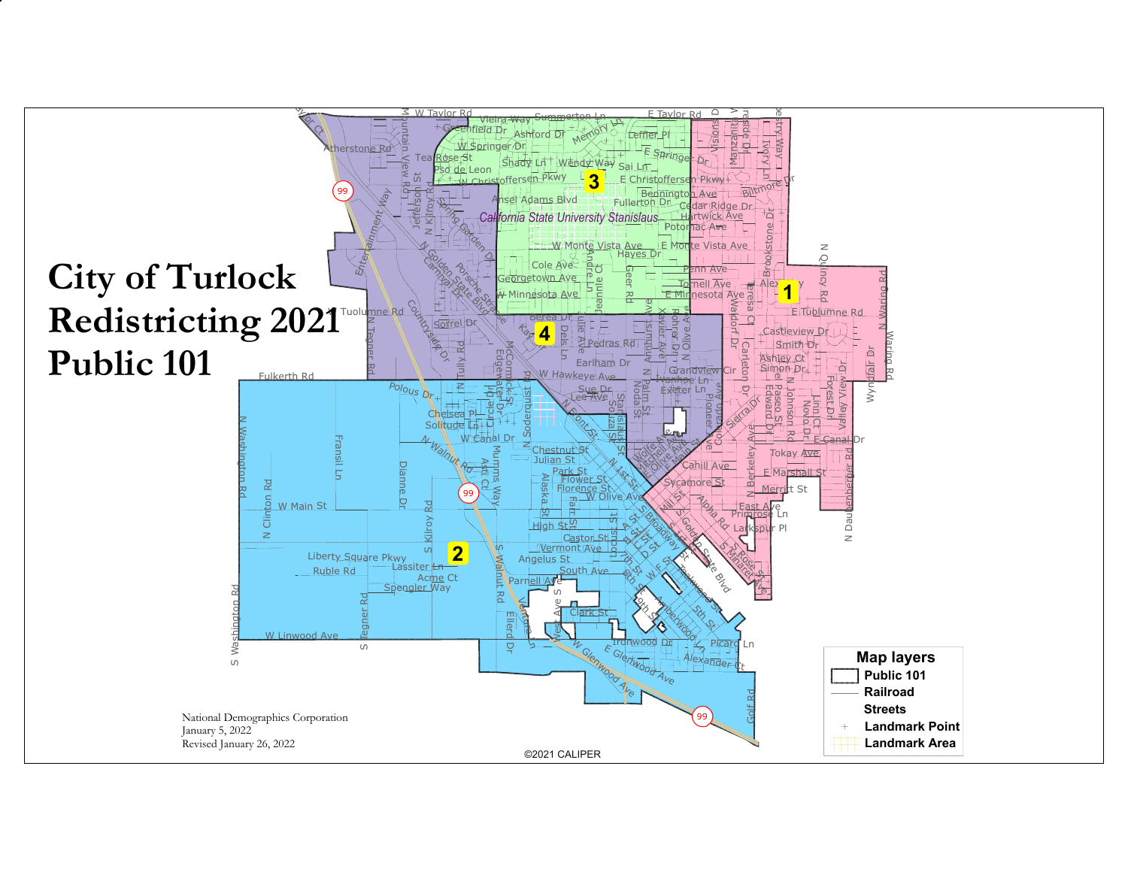